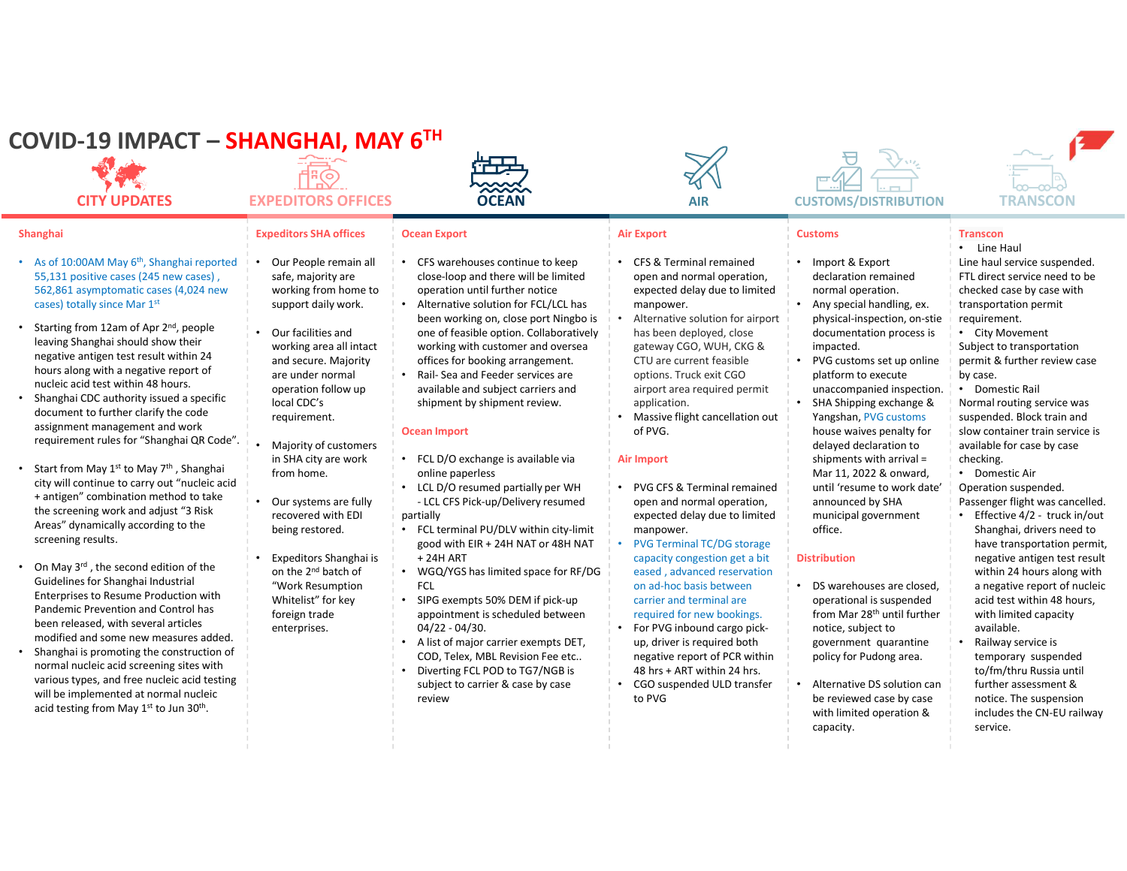| COVID-19 IMPACT – SHANGHAI, MAY 6TH<br><b>CITY UPDATES</b>                                                                                                                                                                                                                                                                                                                                                                                                                                                                                                                                                                                                                                                                                                                                                                                                                                                                                                                                                                                                                                                                                                                                                                                                                                                                                                               | <b>EXPEDITORS OFFICES</b>                                                                                                                                                                                                                                                                                                                                                                                                                                                                                                                               | <b>#22</b><br><b>COCEAN</b>                                                                                                                                                                                                                                                                                                                                                                                                                                                                                                                                                                                                                                                                                                                                                                                                                                                                                                                                                                                           | <b>AIR</b>                                                                                                                                                                                                                                                                                                                                                                                                                                                                                                                                                                                                                                                                                                                                                                                                                                                               | <b>CUSTOMS/DISTRIBUTION</b>                                                                                                                                                                                                                                                                                                                                                                                                                                                                                                                                                                                                                                                                                                                                                                                                            | <b>TRANSCON</b>                                                                                                                                                                                                                                                                                                                                                                                                                                                                                                                                                                                                                                                                                                                                                                                                                                                                                                                            |
|--------------------------------------------------------------------------------------------------------------------------------------------------------------------------------------------------------------------------------------------------------------------------------------------------------------------------------------------------------------------------------------------------------------------------------------------------------------------------------------------------------------------------------------------------------------------------------------------------------------------------------------------------------------------------------------------------------------------------------------------------------------------------------------------------------------------------------------------------------------------------------------------------------------------------------------------------------------------------------------------------------------------------------------------------------------------------------------------------------------------------------------------------------------------------------------------------------------------------------------------------------------------------------------------------------------------------------------------------------------------------|---------------------------------------------------------------------------------------------------------------------------------------------------------------------------------------------------------------------------------------------------------------------------------------------------------------------------------------------------------------------------------------------------------------------------------------------------------------------------------------------------------------------------------------------------------|-----------------------------------------------------------------------------------------------------------------------------------------------------------------------------------------------------------------------------------------------------------------------------------------------------------------------------------------------------------------------------------------------------------------------------------------------------------------------------------------------------------------------------------------------------------------------------------------------------------------------------------------------------------------------------------------------------------------------------------------------------------------------------------------------------------------------------------------------------------------------------------------------------------------------------------------------------------------------------------------------------------------------|--------------------------------------------------------------------------------------------------------------------------------------------------------------------------------------------------------------------------------------------------------------------------------------------------------------------------------------------------------------------------------------------------------------------------------------------------------------------------------------------------------------------------------------------------------------------------------------------------------------------------------------------------------------------------------------------------------------------------------------------------------------------------------------------------------------------------------------------------------------------------|----------------------------------------------------------------------------------------------------------------------------------------------------------------------------------------------------------------------------------------------------------------------------------------------------------------------------------------------------------------------------------------------------------------------------------------------------------------------------------------------------------------------------------------------------------------------------------------------------------------------------------------------------------------------------------------------------------------------------------------------------------------------------------------------------------------------------------------|--------------------------------------------------------------------------------------------------------------------------------------------------------------------------------------------------------------------------------------------------------------------------------------------------------------------------------------------------------------------------------------------------------------------------------------------------------------------------------------------------------------------------------------------------------------------------------------------------------------------------------------------------------------------------------------------------------------------------------------------------------------------------------------------------------------------------------------------------------------------------------------------------------------------------------------------|
| <b>Shanghai</b><br>• As of 10:00AM May 6 <sup>th</sup> , Shanghai reported<br>55,131 positive cases (245 new cases),<br>562,861 asymptomatic cases (4,024 new<br>cases) totally since Mar 1st<br>• Starting from 12am of Apr 2 <sup>nd</sup> , people<br>leaving Shanghai should show their<br>negative antigen test result within 24<br>hours along with a negative report of<br>nucleic acid test within 48 hours.<br>• Shanghai CDC authority issued a specific<br>document to further clarify the code<br>assignment management and work<br>requirement rules for "Shanghai QR Code".<br>• Start from May 1 <sup>st</sup> to May 7 <sup>th</sup> , Shanghai<br>city will continue to carry out "nucleic acid<br>+ antigen" combination method to take<br>the screening work and adjust "3 Risk<br>Areas" dynamically according to the<br>screening results.<br>• On May 3rd, the second edition of the<br>Guidelines for Shanghai Industrial<br>Enterprises to Resume Production with<br>Pandemic Prevention and Control has<br>been released, with several articles<br>modified and some new measures added.<br>• Shanghai is promoting the construction of<br>normal nucleic acid screening sites with<br>various types, and free nucleic acid testing<br>will be implemented at normal nucleic<br>acid testing from May 1 <sup>st</sup> to Jun 30 <sup>th</sup> . | <b>Expeditors SHA offices</b><br>Our People remain all<br>safe, majority are<br>working from home to<br>support daily work.<br>Our facilities and<br>working area all intact<br>and secure. Majority<br>are under normal<br>operation follow up<br>local CDC's<br>requirement.<br>Majority of customers<br>in SHA city are work<br>from home.<br>Our systems are fully<br>recovered with EDI<br>being restored.<br>Expeditors Shanghai is<br>on the 2 <sup>nd</sup> batch of<br>"Work Resumption<br>Whitelist" for key<br>foreign trade<br>enterprises. | <b>Ocean Export</b><br>CFS warehouses continue to keep<br>close-loop and there will be limited<br>operation until further notice<br>Alternative solution for FCL/LCL has<br>been working on, close port Ningbo is<br>one of feasible option. Collaboratively<br>working with customer and oversea<br>offices for booking arrangement.<br>Rail- Sea and Feeder services are<br>available and subject carriers and<br>shipment by shipment review.<br>Ocean Import<br>FCL D/O exchange is available via<br>online paperless<br>LCL D/O resumed partially per WH<br>- LCL CFS Pick-up/Delivery resumed<br>partially<br>• FCL terminal PU/DLV within city-limit<br>good with EIR + 24H NAT or 48H NAT<br>+ 24H ART<br>WGQ/YGS has limited space for RF/DG<br>FCL<br>SIPG exempts 50% DEM if pick-up<br>appointment is scheduled between<br>$04/22 - 04/30.$<br>A list of major carrier exempts DET,<br>COD, Telex, MBL Revision Fee etc<br>Diverting FCL POD to TG7/NGB is<br>subject to carrier & case by case<br>review | <b>Air Export</b><br>CFS & Terminal remained<br>open and normal operation,<br>expected delay due to limited<br>manpower.<br>Alternative solution for airport<br>has been deployed, close<br>gateway CGO, WUH, CKG &<br>CTU are current feasible<br>options. Truck exit CGO<br>airport area required permit<br>application.<br>Massive flight cancellation out<br>of PVG.<br><b>Air Import</b><br>PVG CFS & Terminal remained<br>open and normal operation,<br>expected delay due to limited<br>manpower.<br><b>PVG Terminal TC/DG storage</b><br>capacity congestion get a bit<br>eased, advanced reservation<br>on ad-hoc basis between<br>carrier and terminal are<br>required for new bookings.<br>For PVG inbound cargo pick-<br>up, driver is required both<br>negative report of PCR within<br>48 hrs + ART within 24 hrs.<br>CGO suspended ULD transfer<br>to PVG | <b>Customs</b><br>Import & Export<br>declaration remained<br>normal operation.<br>Any special handling, ex.<br>physical-inspection, on-stie<br>documentation process is<br>impacted.<br>PVG customs set up online<br>platform to execute<br>unaccompanied inspection.<br>SHA Shipping exchange &<br>Yangshan, PVG customs<br>house waives penalty for<br>delayed declaration to<br>shipments with arrival =<br>Mar 11, 2022 & onward,<br>until 'resume to work date'<br>announced by SHA<br>municipal government<br>office.<br><b>Distribution</b><br>• DS warehouses are closed,<br>operational is suspended<br>from Mar 28 <sup>th</sup> until further<br>notice, subject to<br>government quarantine<br>policy for Pudong area.<br>Alternative DS solution can<br>be reviewed case by case<br>with limited operation &<br>capacity. | <b>Transcon</b><br>• Line Haul<br>Line haul service suspended.<br>FTL direct service need to be<br>checked case by case with<br>transportation permit<br>requirement.<br>City Movement<br>Subject to transportation<br>permit & further review case<br>by case.<br>Domestic Rail<br>Normal routing service was<br>suspended. Block train and<br>slow container train service is<br>available for case by case<br>checking.<br>Domestic Air<br>Operation suspended.<br>Passenger flight was cancelled.<br>• Lifective 4/2 - truck in/out<br>Shanghai, drivers need to<br>have transportation permit,<br>negative antigen test result<br>within 24 hours along with<br>a negative report of nucleic<br>acid test within 48 hours,<br>with limited capacity<br>available.<br>Railway service is<br>temporary suspended<br>to/fm/thru Russia until<br>further assessment &<br>notice. The suspension<br>includes the CN-EU railway<br>service. |